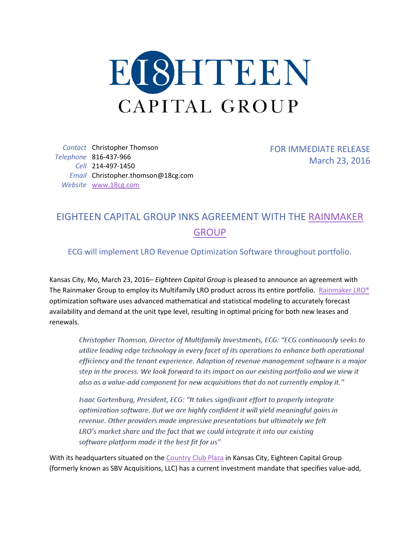

*Contact* Christopher Thomson *Telephone* 816-437-966 *Cell* 214-497-1450 *Email* Christopher.thomson@18cg.com *Website* [www.18cg.com](http://www.18cg.com/)

FOR IMMEDIATE RELEASE March 23, 2016

## EIGHTEEN CAPITAL GROUP INKS AGREEMENT WITH THE [RAINMAKER](https://www.letitrain.com/)  **[GROUP](https://www.letitrain.com/)**

ECG will implement LRO Revenue Optimization Software throughout portfolio.

Kansas City, Mo, March 23, 2016– *Eighteen Capital Group* is pleased to announce an agreement with The Rainmaker Group to employ its Multifamily LRO product across its entire portfolio. [Rainmaker LRO®](https://www.letitrain.com/multifamily-housing/lro) optimization software uses advanced mathematical and statistical modeling to accurately forecast availability and demand at the unit type level, resulting in optimal pricing for both new leases and renewals.

Christopher Thomson, Director of Multifamily Investments, ECG: "ECG continuously seeks to utilize leading edge technology in every facet of its operations to enhance both operational efficiency and the tenant experience. Adoption of revenue management software is a major step in the process. We look forward to its impact on our existing portfolio and we view it also as a value-add component for new acquisitions that do not currently employ it."

Isaac Gortenburg, President, ECG: "It takes significant effort to properly integrate optimization software. But we are highly confident it will yield meaningful gains in revenue. Other providers made impressive presentations but ultimately we felt LRO's market share and the fact that we could integrate it into our existing software platform made it the best fit for us"

With its headquarters situated on th[e Country Club Plaza](https://countryclubplaza.com/) in Kansas City, Eighteen Capital Group (formerly known as SBV Acquisitions, LLC) has a current investment mandate that specifies value-add,